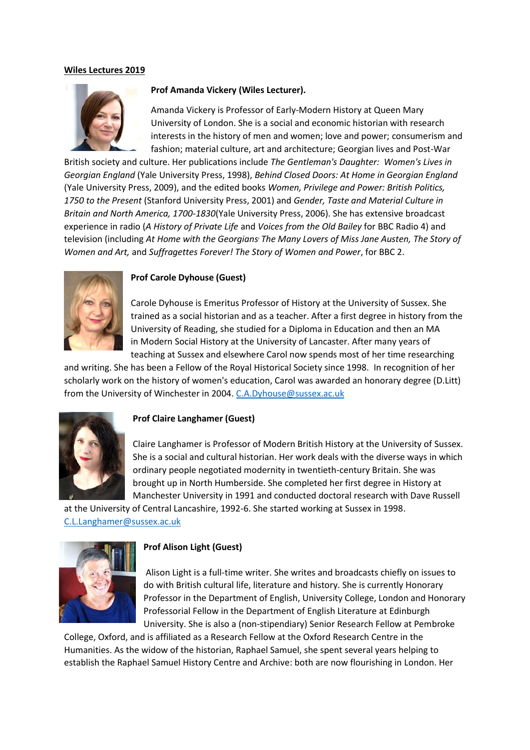#### **Wiles Lectures 2019**



#### **Prof Amanda Vickery (Wiles Lecturer).**

Amanda Vickery is Professor of Early-Modern History at Queen Mary University of London. She is a social and economic historian with research interests in the history of men and women; love and power; consumerism and fashion; material culture, art and architecture; Georgian lives and Post-War

British society and culture. Her publications include *The Gentleman's Daughter: Women's Lives in Georgian England* (Yale University Press, 1998), *Behind Closed Doors: At Home in Georgian England*  (Yale University Press, 2009), and the edited books *Women, Privilege and Power: British Politics, 1750 to the Present* (Stanford University Press, 2001) and *Gender, Taste and Material Culture in Britain and North America, 1700-1830*(Yale University Press, 2006). She has extensive broadcast experience in radio (*A History of Private Life* and *Voices from the Old Bailey* for BBC Radio 4) and television (including *At Home with the Georgians, The Many Lovers of Miss Jane Austen, The Story of Women and Art,* and *Suffragettes Forever! The Story of Women and Power*, for BBC 2.



# **Prof Carole Dyhouse (Guest)**

Carole Dyhouse is Emeritus Professor of History at the University of Sussex. She trained as a social historian and as a teacher. After a first degree in history from the University of Reading, she studied for a Diploma in Education and then an MA in Modern Social History at the University of Lancaster. After many years of teaching at Sussex and elsewhere Carol now spends most of her time researching

and writing. She has been a Fellow of the Royal Historical Society since 1998. In recognition of her scholarly work on the history of women's education, Carol was awarded an honorary degree (D.Litt) from the University of Winchester in 2004. [C.A.Dyhouse@sussex.ac.uk](mailto:C.A.Dyhouse@sussex.ac.uk)



#### **Prof Claire Langhamer (Guest)**

Claire Langhamer is Professor of Modern British History at the University of Sussex. She is a social and cultural historian. Her work deals with the diverse ways in which ordinary people negotiated modernity in twentieth-century Britain. She was brought up in North Humberside. She completed her first degree in History at Manchester University in 1991 and conducted doctoral research with Dave Russell

at the University of Central Lancashire, 1992-6. She started working at Sussex in 1998. [C.L.Langhamer@sussex.ac.uk](mailto:C.L.Langhamer@sussex.ac.uk)



#### **Prof Alison Light (Guest)**

Alison Light is a full-time writer. She writes and broadcasts chiefly on issues to do with British cultural life, literature and history. She is currently Honorary Professor in the Department of English, University College, London and Honorary Professorial Fellow in the Department of English Literature at Edinburgh University. She is also a (non-stipendiary) Senior Research Fellow at Pembroke

College, Oxford, and is affiliated as a Research Fellow at the Oxford Research Centre in the Humanities. As the widow of the historian, Raphael Samuel, she spent several years helping to establish the Raphael Samuel History Centre and Archive: both are now flourishing in London. Her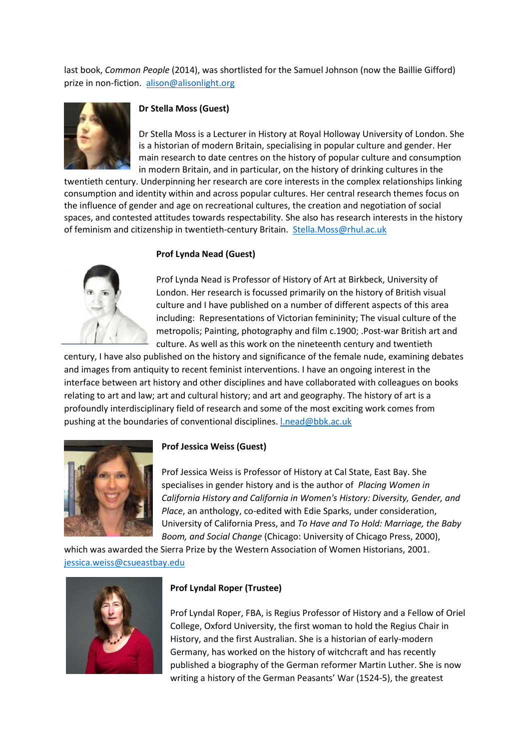last book, *Common People* (2014), was shortlisted for the Samuel Johnson (now the Baillie Gifford) prize in non-fiction. [alison@alisonlight.org](mailto:%20alison@alisonlight.org)



### **Dr Stella Moss (Guest)**

Dr Stella Moss is a Lecturer in History at Royal Holloway University of London. She is a historian of modern Britain, specialising in popular culture and gender. Her main research to date centres on the history of popular culture and consumption in modern Britain, and in particular, on the history of drinking cultures in the

twentieth century. Underpinning her research are core interests in the complex relationships linking consumption and identity within and across popular cultures. Her central research themes focus on the influence of gender and age on recreational cultures, the creation and negotiation of social spaces, and contested attitudes towards respectability. She also has research interests in the history of feminism and citizenship in twentieth-century Britain. [Stella.Moss@rhul.ac.uk](mailto:Stella.Moss@rhul.ac.uk)

# **Prof Lynda Nead (Guest)**



Prof Lynda Nead is Professor of History of Art at Birkbeck, University of London. Her research is focussed primarily on the history of British visual culture and I have published on a number of different aspects of this area including: Representations of Victorian femininity; The visual culture of the metropolis; Painting, photography and film c.1900; .Post-war British art and culture. As well as this work on the nineteenth century and twentieth

century, I have also published on the history and significance of the female nude, examining debates and images from antiquity to recent feminist interventions. I have an ongoing interest in the interface between art history and other disciplines and have collaborated with colleagues on books relating to art and law; art and cultural history; and art and geography. The history of art is a profoundly interdisciplinary field of research and some of the most exciting work comes from pushing at the boundaries of conventional disciplines. [l.nead@bbk.ac.uk](mailto:l.nead@bbk.ac.uk)



# **Prof Jessica Weiss (Guest)**

Prof Jessica Weiss is Professor of History at Cal State, East Bay. She specialises in gender history and is the author of *Placing Women in California History and California in Women's History: Diversity, Gender, and Place*, an anthology, co-edited with Edie Sparks, under consideration, University of California Press, and *To Have and To Hold: Marriage, the Baby Boom, and Social Change* (Chicago: University of Chicago Press, 2000),

which was awarded the Sierra Prize by the Western Association of Women Historians, 2001. [jessica.weiss@csueastbay.edu](mailto:jessica.weiss@csueastbay.edu)



#### **Prof Lyndal Roper (Trustee)**

Prof Lyndal Roper, FBA, is Regius Professor of History and a Fellow of Oriel College, Oxford University, the first woman to hold the Regius Chair in History, and the first Australian. She is a historian of early-modern Germany, has worked on the history of witchcraft and has recently published a biography of the German reformer Martin Luther. She is now writing a history of the German Peasants' War (1524-5), the greatest